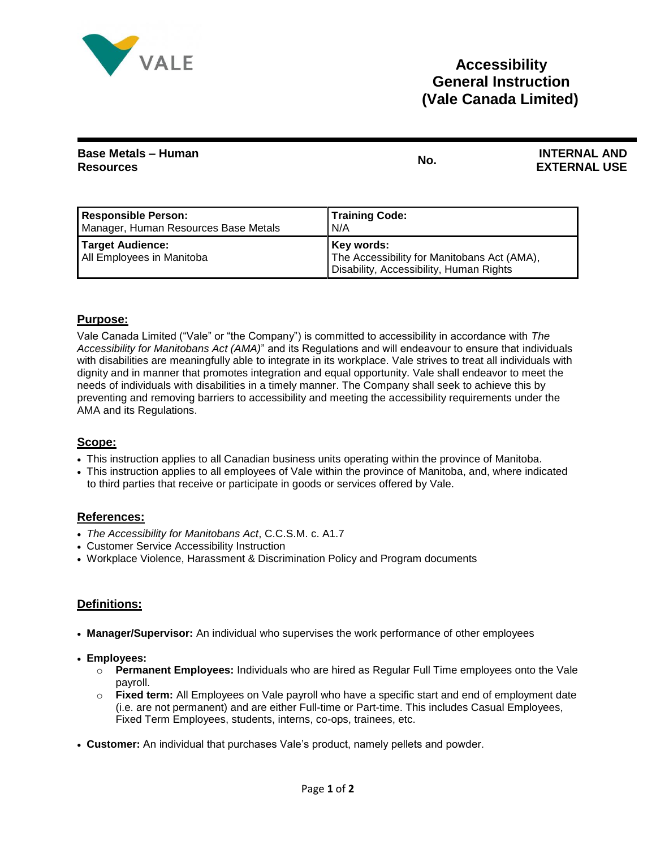

| <b>Base Metals - Human</b><br><b>Resources</b> | No. | <b>INTERNAL AND</b><br><b>EXTERNAL USE</b> |
|------------------------------------------------|-----|--------------------------------------------|
|                                                |     |                                            |

| <b>Responsible Person:</b>                    | <b>Training Code:</b>                                                                                |
|-----------------------------------------------|------------------------------------------------------------------------------------------------------|
| Manager, Human Resources Base Metals          | N/A                                                                                                  |
| Target Audience:<br>All Employees in Manitoba | Key words:<br>The Accessibility for Manitobans Act (AMA),<br>Disability, Accessibility, Human Rights |

## **Purpose:**

Vale Canada Limited ("Vale" or "the Company") is committed to accessibility in accordance with *The Accessibility for Manitobans Act (AMA)*" and its Regulations and will endeavour to ensure that individuals with disabilities are meaningfully able to integrate in its workplace. Vale strives to treat all individuals with dignity and in manner that promotes integration and equal opportunity. Vale shall endeavor to meet the needs of individuals with disabilities in a timely manner. The Company shall seek to achieve this by preventing and removing barriers to accessibility and meeting the accessibility requirements under the AMA and its Regulations.

## **Scope:**

- This instruction applies to all Canadian business units operating within the province of Manitoba.
- This instruction applies to all employees of Vale within the province of Manitoba, and, where indicated to third parties that receive or participate in goods or services offered by Vale.

## **References:**

- *The Accessibility for Manitobans Act*, C.C.S.M. c. A1.7
- Customer Service Accessibility Instruction
- Workplace Violence, Harassment & Discrimination Policy and Program documents

# **Definitions:**

- **Manager/Supervisor:** An individual who supervises the work performance of other employees
- **Employees:**
	- o **Permanent Employees:** Individuals who are hired as Regular Full Time employees onto the Vale payroll.
	- o **Fixed term:** All Employees on Vale payroll who have a specific start and end of employment date (i.e. are not permanent) and are either Full-time or Part-time. This includes Casual Employees, Fixed Term Employees, students, interns, co-ops, trainees, etc.
- **Customer:** An individual that purchases Vale's product, namely pellets and powder.